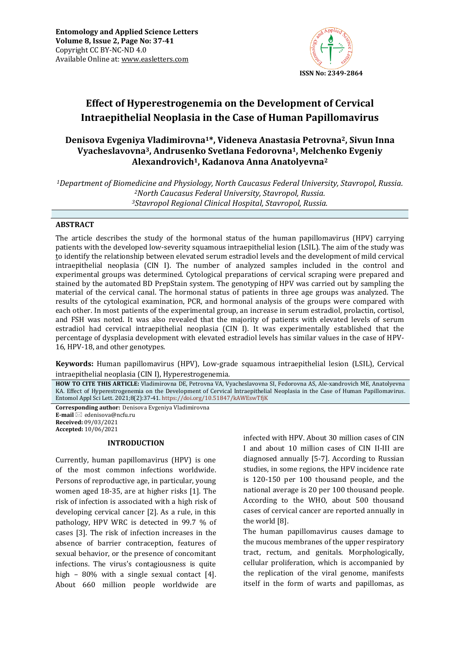

# **Effect of Hyperestrogenemia on the Development of Cervical Intraepithelial Neoplasia in the Case of Human Papillomavirus**

# **Denisova Evgeniya Vladimirovna1\*, Videneva Anastasia Petrovna2, Sivun Inna Vyacheslavovna3, Andrusenko Svetlana Fedorovna1, Melchenko Evgeniy Alexandrovich1, Kadanova Anna Anatolyevna<sup>2</sup>**

*<sup>1</sup>Department of Biomedicine and Physiology, North Caucasus Federal University, Stavropol, Russia. <sup>2</sup>North Caucasus Federal University, Stavropol, Russia. <sup>3</sup>Stavropol Regional Clinical Hospital, Stavropol, Russia.*

## **ABSTRACT**

The article describes the study of the hormonal status of the human papillomavirus (HPV) carrying patients with the developed low-severity squamous intraepithelial lesion (LSIL). The aim of the study was to identify the relationship between elevated serum estradiol levels and the development of mild cervical intraepithelial neoplasia (CIN I). The number of analyzed samples included in the control and experimental groups was determined. Cytological preparations of cervical scraping were prepared and stained by the automated BD PrepStain system. The genotyping of HPV was carried out by sampling the material of the cervical canal. The hormonal status of patients in three age groups was analyzed. The results of the cytological examination, PCR, and hormonal analysis of the groups were compared with each other. In most patients of the experimental group, an increase in serum estradiol, prolactin, cortisol, and FSH was noted. It was also revealed that the majority of patients with elevated levels of serum estradiol had cervical intraepithelial neoplasia (CIN I). It was experimentally established that the percentage of dysplasia development with elevated estradiol levels has similar values in the case of HPV-16, HPV-18, and other genotypes.

**Keywords:** Human papillomavirus (HPV), Low-grade squamous intraepithelial lesion (LSIL), Cervical intraepithelial neoplasia (CIN I), Hyperestrogenemia*.*

**HOW TO CITE THIS ARTICLE:** Vladimirovna DE, Petrovna VA, Vyacheslavovna SI, Fedorovna AS, Ale-xandrovich ME, Anatolyevna KA. Effect of Hyperestrogenemia on the Development of Cervical Intraepithelial Neoplasia in the Case of Human Papillomavirus. Entomol Appl Sci Lett. 2021;8(2):37-41. <https://doi.org/10.51847/kAWEswTfjK>

**Corresponding author:** Denisova Evgeniya Vladimirovna **E-mail** ⊠ edenisova@ncfu.ru **Received:** 09/03/2021 **Accepted:** 10/06/2021

### **INTRODUCTION**

Currently, human papillomavirus (HPV) is one of the most common infections worldwide. Persons of reproductive age, in particular, young women aged 18-35, are at higher risks [1]. The risk of infection is associated with a high risk of developing cervical cancer [2]. As a rule, in this pathology, HPV WRC is detected in 99.7 % of cases [3]. The risk of infection increases in the absence of barrier contraception, features of sexual behavior, or the presence of concomitant infections. The virus's contagiousness is quite high - 80% with a single sexual contact [4]. About 660 million people worldwide are infected with HPV. About 30 million cases of CIN I and about 10 million cases of CIN II-III are diagnosed annually [5-7]. According to Russian studies, in some regions, the HPV incidence rate is 120-150 per 100 thousand people, and the national average is 20 per 100 thousand people. According to the WHO, about 500 thousand cases of cervical cancer are reported annually in the world [8].

The human papillomavirus causes damage to the mucous membranes of the upper respiratory tract, rectum, and genitals. Morphologically, cellular proliferation, which is accompanied by the replication of the viral genome, manifests itself in the form of warts and papillomas, as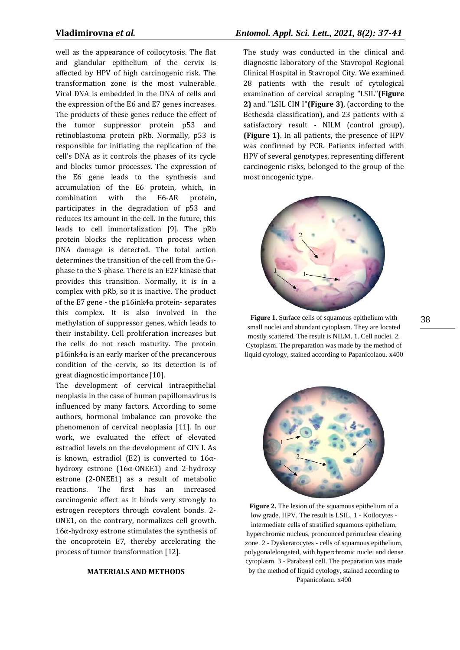well as the appearance of coilocytosis. The flat and glandular epithelium of the cervix is affected by HPV of high carcinogenic risk. The transformation zone is the most vulnerable. Viral DNA is embedded in the DNA of cells and the expression of the E6 and E7 genes increases. The products of these genes reduce the effect of the tumor suppressor protein p53 and retinoblastoma protein pRb. Normally, p53 is responsible for initiating the replication of the cell's DNA as it controls the phases of its cycle and blocks tumor processes. The expression of the E6 gene leads to the synthesis and accumulation of the E6 protein, which, in combination with the E6-AR protein, participates in the degradation of p53 and reduces its amount in the cell. In the future, this leads to cell immortalization [9]. The pRb protein blocks the replication process when DNA damage is detected. The total action determines the transition of the cell from the G1 phase to the S-phase. There is an E2F kinase that provides this transition. Normally, it is in a complex with pRb, so it is inactive. The product of the E7 gene - the p16ink4 $\alpha$  protein- separates this complex. It is also involved in the methylation of suppressor genes, which leads to their instability. Cell proliferation increases but the cells do not reach maturity. The protein p16ink4α is an early marker of the precancerous condition of the cervix, so its detection is of great diagnostic importance [10].

The development of cervical intraepithelial neoplasia in the case of human papillomavirus is influenced by many factors. According to some authors, hormonal imbalance can provoke the phenomenon of cervical neoplasia [11]. In our work, we evaluated the effect of elevated estradiol levels on the development of CIN I. As is known, estradiol (E2) is converted to  $16\alpha$ hydroxy estrone (16α-ONEE1) and 2-hydroxy estrone (2-ONEE1) as a result of metabolic reactions. The first has an increased carcinogenic effect as it binds very strongly to estrogen receptors through covalent bonds. 2- ONE1, on the contrary, normalizes cell growth. 16α-hydroxy estrone stimulates the synthesis of the oncoprotein E7, thereby accelerating the process of tumor transformation [12].

#### **MATERIALS AND METHODS**

# **Vladimirovna** *et al.**Entomol. Appl. Sci. Lett., 2021, 8(2): 37-41*

The study was conducted in the clinical and diagnostic laboratory of the Stavropol Regional Clinical Hospital in Stavropol City. We examined 28 patients with the result of cytological examination of cervical scraping "LSIL"**(Figure 2)** and "LSIL CIN I"**(Figure 3)**, (according to the Bethesda classification), and 23 patients with a satisfactory result - NILM (control group), **(Figure 1)**. In all patients, the presence of HPV was confirmed by PCR. Patients infected with HPV of several genotypes, representing different carcinogenic risks, belonged to the group of the most oncogenic type.



**Figure 1.** Surface cells of squamous epithelium with small nuclei and abundant cytoplasm. They are located mostly scattered. The result is NILM. 1. Cell nuclei. 2. Cytoplasm. The preparation was made by the method of liquid cytology, stained according to Papanicolaou. x400

**Figure 2.** The lesion of the squamous epithelium of a low grade. HPV. The result is LSIL. 1 - Koilocytes intermediate cells of stratified squamous epithelium. hyperchromic nucleus, pronounced perinuclear clearing zone. 2 - Dyskeratocytes - cells of squamous epithelium, polygonalelongated, with hyperchromic nuclei and dense cytoplasm. 3 - Parabasal cell. The preparation was made by the method of liquid cytology, stained according to Papanicolaou. x400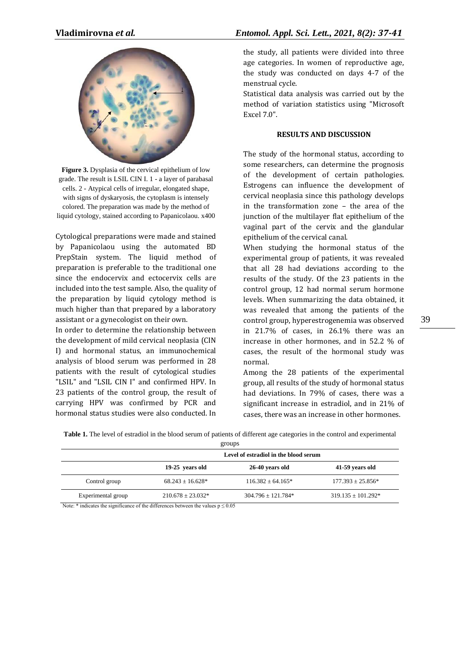

**Figure 3.** Dysplasia of the cervical epithelium of low grade. The result is LSIL CIN I. 1 - a layer of parabasal cells. 2 - Atypical cells of irregular, elongated shape, with signs of dyskaryosis, the cytoplasm is intensely colored. The preparation was made by the method of liquid cytology, stained according to Papanicolaou. x400

Cytological preparations were made and stained by Papanicolaou using the automated BD PrepStain system. The liquid method of preparation is preferable to the traditional one since the endocervix and ectocervix cells are included into the test sample. Also, the quality of the preparation by liquid cytology method is much higher than that prepared by a laboratory assistant or a gynecologist on their own.

In order to determine the relationship between the development of mild cervical neoplasia (CIN I) and hormonal status, an immunochemical analysis of blood serum was performed in 28 patients with the result of cytological studies "LSIL" and "LSIL CIN I" and confirmed HPV. In 23 patients of the control group, the result of carrying HPV was confirmed by PCR and hormonal status studies were also conducted. In

the study, all patients were divided into three age categories. In women of reproductive age, the study was conducted on days 4-7 of the menstrual cycle.

Statistical data analysis was carried out by the method of variation statistics using "Microsoft Excel 7.0".

### **RESULTS AND DISCUSSION**

The study of the hormonal status, according to some researchers, can determine the prognosis of the development of certain pathologies. Estrogens can influence the development of cervical neoplasia since this pathology develops in the transformation zone – the area of the junction of the multilayer flat epithelium of the vaginal part of the cervix and the glandular epithelium of the cervical canal.

When studying the hormonal status of the experimental group of patients, it was revealed that all 28 had deviations according to the results of the study. Of the 23 patients in the control group, 12 had normal serum hormone levels. When summarizing the data obtained, it was revealed that among the patients of the control group, hyperestrogenemia was observed in 21.7% of cases, in 26.1% there was an increase in other hormones, and in 52.2 % of cases, the result of the hormonal study was normal.

Among the 28 patients of the experimental group, all results of the study of hormonal status had deviations. In 79% of cases, there was a significant increase in estradiol, and in 21% of cases, there was an increase in other hormones.

| Table 1. The level of estradiol in the blood serum of patients of different age categories in the control and experimental |  |  |
|----------------------------------------------------------------------------------------------------------------------------|--|--|
|----------------------------------------------------------------------------------------------------------------------------|--|--|

|                    | Level of estradiol in the blood serum |                        |                        |
|--------------------|---------------------------------------|------------------------|------------------------|
|                    | 19-25 years old                       | 26-40 years old        | 41-59 years old        |
| Control group      | $68.243 \pm 16.628^*$                 | $116.382 \pm 64.165*$  | $177.393 \pm 25.856*$  |
| Experimental group | $210.678 \pm 23.032*$                 | $304.796 \pm 121.784*$ | $319.135 \pm 101.292*$ |

Note: \* indicates the significance of the differences between the values  $p \le 0.05$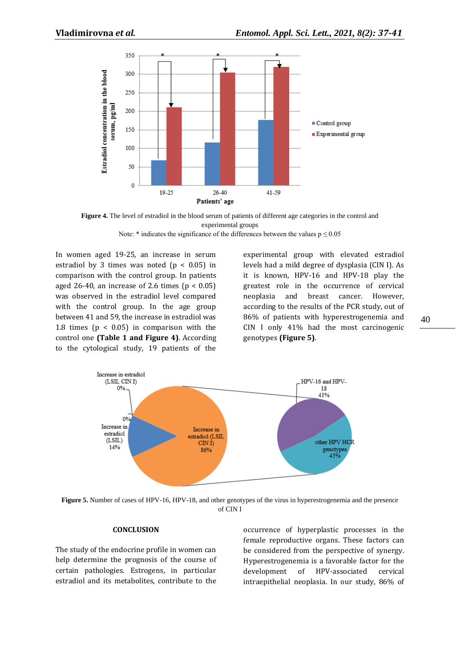



Note: \* indicates the significance of the differences between the values  $p \le 0.05$ 

In women aged 19-25, an increase in serum estradiol by 3 times was noted  $(p < 0.05)$  in comparison with the control group. In patients aged 26-40, an increase of 2.6 times  $(p < 0.05)$ was observed in the estradiol level compared with the control group. In the age group between 41 and 59, the increase in estradiol was 1.8 times ( $p < 0.05$ ) in comparison with the control one **(Table 1 and Figure 4)**. According to the cytological study, 19 patients of the

experimental group with elevated estradiol levels had a mild degree of dysplasia (CIN I). As it is known, HPV-16 and HPV-18 play the greatest role in the occurrence of cervical neoplasia and breast cancer. However, according to the results of the PCR study, out of 86% of patients with hyperestrogenemia and CIN I only 41% had the most carcinogenic genotypes **(Figure 5)**.



**Figure 5.** Number of cases of HPV-16, HPV-18, and other genotypes of the virus in hyperestrogenemia and the presence of CIN I

#### **CONCLUSION**

The study of the endocrine profile in women can help determine the prognosis of the course of certain pathologies. Estrogens, in particular estradiol and its metabolites, contribute to the

occurrence of hyperplastic processes in the female reproductive organs. These factors can be considered from the perspective of synergy. Hyperestrogenemia is a favorable factor for the development of HPV-associated cervical intraepithelial neoplasia. In our study, 86% of 40